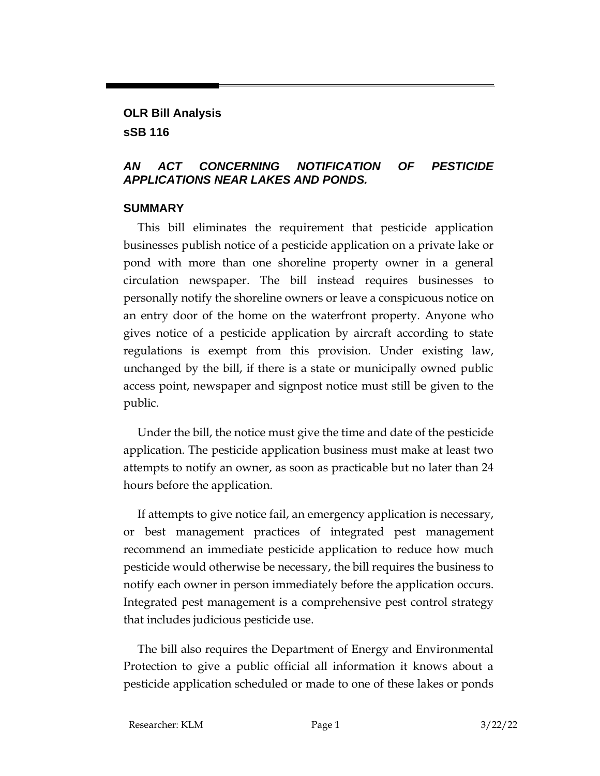## **OLR Bill Analysis sSB 116**

## *AN ACT CONCERNING NOTIFICATION OF PESTICIDE APPLICATIONS NEAR LAKES AND PONDS.*

## **SUMMARY**

This bill eliminates the requirement that pesticide application businesses publish notice of a pesticide application on a private lake or pond with more than one shoreline property owner in a general circulation newspaper. The bill instead requires businesses to personally notify the shoreline owners or leave a conspicuous notice on an entry door of the home on the waterfront property. Anyone who gives notice of a pesticide application by aircraft according to state regulations is exempt from this provision. Under existing law, unchanged by the bill, if there is a state or municipally owned public access point, newspaper and signpost notice must still be given to the public.

Under the bill, the notice must give the time and date of the pesticide application. The pesticide application business must make at least two attempts to notify an owner, as soon as practicable but no later than 24 hours before the application.

If attempts to give notice fail, an emergency application is necessary, or best management practices of integrated pest management recommend an immediate pesticide application to reduce how much pesticide would otherwise be necessary, the bill requires the business to notify each owner in person immediately before the application occurs. Integrated pest management is a comprehensive pest control strategy that includes judicious pesticide use.

The bill also requires the Department of Energy and Environmental Protection to give a public official all information it knows about a pesticide application scheduled or made to one of these lakes or ponds